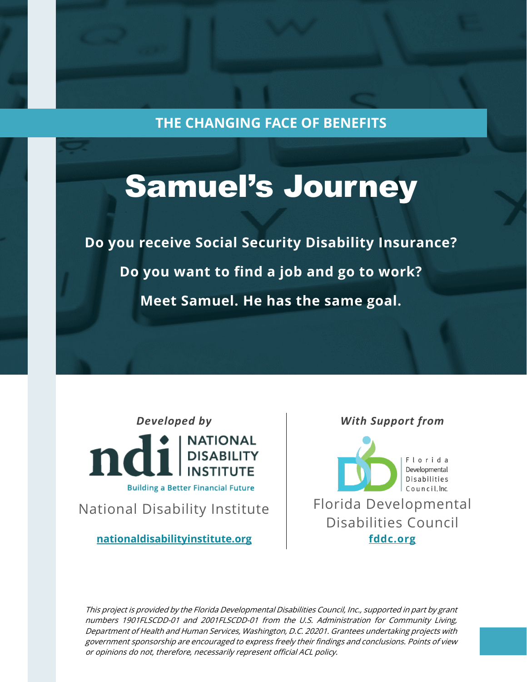**THE CHANGING FACE OF BENEFITS**

# Samuel's Journey

**Do you receive Social Security Disability Insurance? Do you want to find a job and go to work? Meet Samuel. He has the same goal.**

*Developed by*



National Disability Institute

**[nationaldisabilityinstitute.org](http://www.nationaldisabilityinstitute.org/)**

*With Support from*



This project is provided by the Florida Developmental Disabilities Council, Inc., supported in part by grant numbers 1901FLSCDD-01 and 2001FLSCDD-01 from the U.S. Administration for Community Living, Department of Health and Human Services, Washington, D.C. 20201. Grantees undertaking projects with government sponsorship are encouraged to express freely their findings and conclusions. Points of view or opinions do not, therefore, necessarily represent official ACL policy.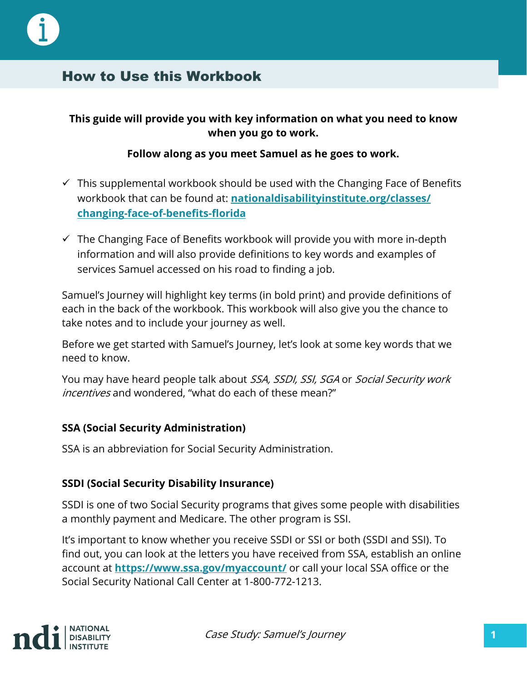

## How to Use this Workbook

#### **This guide will provide you with key information on what you need to know when you go to work.**

#### **Follow along as you meet Samuel as he goes to work.**

- $\checkmark$  This supplemental workbook should be used with the Changing Face of Benefits workbook that can be found at: **[nationaldisabilityinstitute.org/classes/](https://www.nationaldisabilityinstitute.org/classes/changing-face-of-benefits-florida/) [changing-face-of-benefits-florida](https://www.nationaldisabilityinstitute.org/classes/changing-face-of-benefits-florida/)**
- $\checkmark$  The Changing Face of Benefits workbook will provide you with more in-depth information and will also provide definitions to key words and examples of services Samuel accessed on his road to finding a job.

Samuel's Journey will highlight key terms (in bold print) and provide definitions of each in the back of the workbook. This workbook will also give you the chance to take notes and to include your journey as well.

Before we get started with Samuel's Journey, let's look at some key words that we need to know.

You may have heard people talk about SSA, SSDI, SSI, SGA or Social Security work incentives and wondered, "what do each of these mean?"

#### **SSA (Social Security Administration)**

SSA is an abbreviation for Social Security Administration.

#### **SSDI (Social Security Disability Insurance)**

SSDI is one of two Social Security programs that gives some people with disabilities a monthly payment and Medicare. The other program is SSI.

It's important to know whether you receive SSDI or SSI or both (SSDI and SSI). To find out, you can look at the letters you have received from SSA, establish an online account at **<https://www.ssa.gov/myaccount/>** or call your local SSA office or the Social Security National Call Center at 1-800-772-1213.

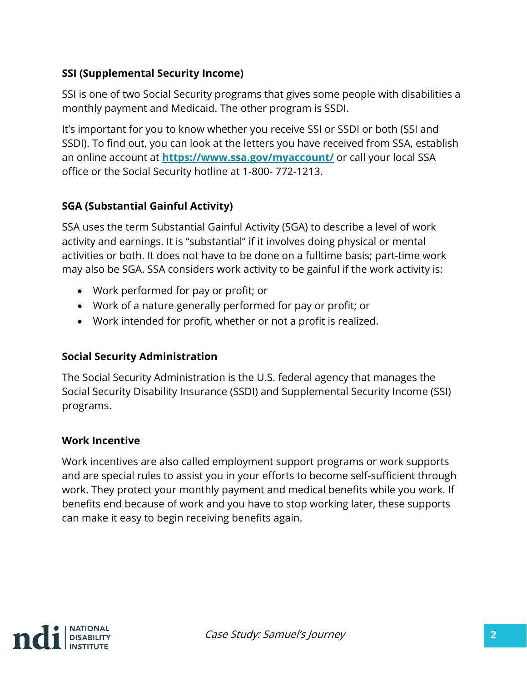#### **SSI (Supplemental Security Income)**

SSI is one of two Social Security programs that gives some people with disabilities a monthly payment and Medicaid. The other program is SSDI.

It's important for you to know whether you receive SSI or SSDI or both (SSI and SSDI). To find out, you can look at the letters you have received from SSA, establish an online account at **<https://www.ssa.gov/myaccount/>** or call your local SSA office or the Social Security hotline at 1-800- 772-1213.

#### **SGA (Substantial Gainful Activity)**

SSA uses the term Substantial Gainful Activity (SGA) to describe a level of work activity and earnings. It is "substantial" if it involves doing physical or mental activities or both. It does not have to be done on a fulltime basis; part-time work may also be SGA. SSA considers work activity to be gainful if the work activity is:

- Work performed for pay or profit; or
- Work of a nature generally performed for pay or profit; or
- Work intended for profit, whether or not a profit is realized.

#### **Social Security Administration**

The Social Security Administration is the U.S. federal agency that manages the Social Security Disability Insurance (SSDI) and Supplemental Security Income (SSI) programs.

#### **Work Incentive**

Work incentives are also called employment support programs or work supports and are special rules to assist you in your efforts to become self-sufficient through work. They protect your monthly payment and medical benefits while you work. If benefits end because of work and you have to stop working later, these supports can make it easy to begin receiving benefits again.

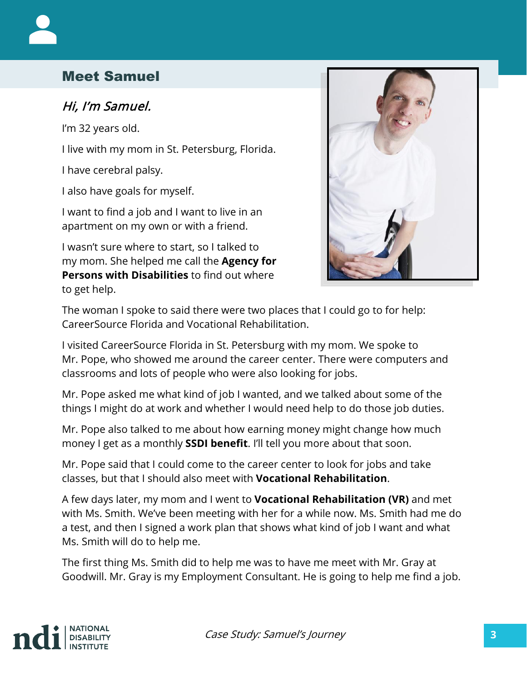## Meet Samuel

#### Hi, I'm Samuel.

I'm 32 years old.

I live with my mom in St. Petersburg, Florida.

I have cerebral palsy.

I also have goals for myself.

I want to find a job and I want to live in an apartment on my own or with a friend.

I wasn't sure where to start, so I talked to my mom. She helped me call the **Agency for Persons with Disabilities** to find out where to get help.



The woman I spoke to said there were two places that I could go to for help: CareerSource Florida and Vocational Rehabilitation.

I visited CareerSource Florida in St. Petersburg with my mom. We spoke to Mr. Pope, who showed me around the career center. There were computers and classrooms and lots of people who were also looking for jobs.

Mr. Pope asked me what kind of job I wanted, and we talked about some of the things I might do at work and whether I would need help to do those job duties.

Mr. Pope also talked to me about how earning money might change how much money I get as a monthly **SSDI benefit**. I'll tell you more about that soon.

Mr. Pope said that I could come to the career center to look for jobs and take classes, but that I should also meet with **Vocational Rehabilitation**.

A few days later, my mom and I went to **Vocational Rehabilitation (VR)** and met with Ms. Smith. We've been meeting with her for a while now. Ms. Smith had me do a test, and then I signed a work plan that shows what kind of job I want and what Ms. Smith will do to help me.

The first thing Ms. Smith did to help me was to have me meet with Mr. Gray at Goodwill. Mr. Gray is my Employment Consultant. He is going to help me find a job.

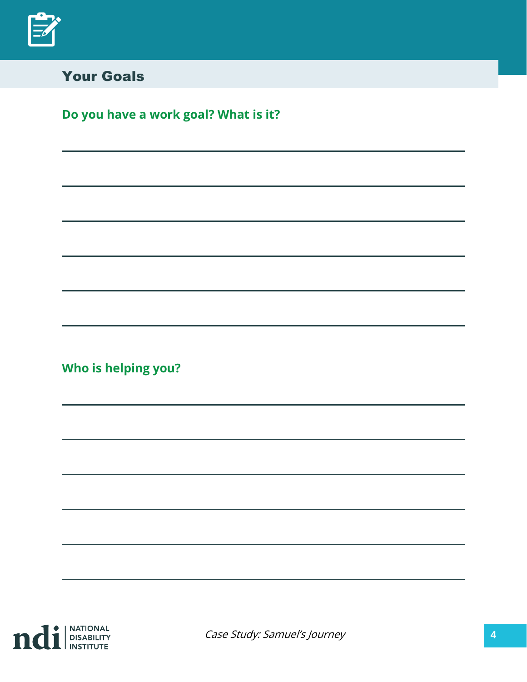

## Your Goals

# **Do you have a work goal? What is it?**

**Who is helping you?** 



Case Study: Samuel's Journey **4**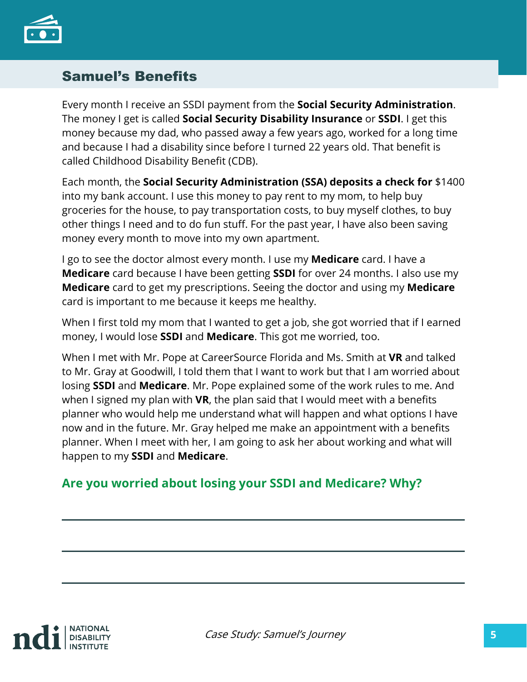

## Samuel's Benefits

Every month I receive an SSDI payment from the **Social Security Administration**. The money I get is called **Social Security Disability Insurance** or **SSDI**. I get this money because my dad, who passed away a few years ago, worked for a long time and because I had a disability since before I turned 22 years old. That benefit is called Childhood Disability Benefit (CDB).

Each month, the **Social Security Administration (SSA) deposits a check for** \$1400 into my bank account. I use this money to pay rent to my mom, to help buy groceries for the house, to pay transportation costs, to buy myself clothes, to buy other things I need and to do fun stuff. For the past year, I have also been saving money every month to move into my own apartment.

I go to see the doctor almost every month. I use my **Medicare** card. I have a **Medicare** card because I have been getting **SSDI** for over 24 months. I also use my **Medicare** card to get my prescriptions. Seeing the doctor and using my **Medicare**  card is important to me because it keeps me healthy.

When I first told my mom that I wanted to get a job, she got worried that if I earned money, I would lose **SSDI** and **Medicare**. This got me worried, too.

When I met with Mr. Pope at CareerSource Florida and Ms. Smith at **VR** and talked to Mr. Gray at Goodwill, I told them that I want to work but that I am worried about losing **SSDI** and **Medicare**. Mr. Pope explained some of the work rules to me. And when I signed my plan with **VR**, the plan said that I would meet with a benefits planner who would help me understand what will happen and what options I have now and in the future. Mr. Gray helped me make an appointment with a benefits planner. When I meet with her, I am going to ask her about working and what will happen to my **SSDI** and **Medicare**.

#### **Are you worried about losing your SSDI and Medicare? Why?**

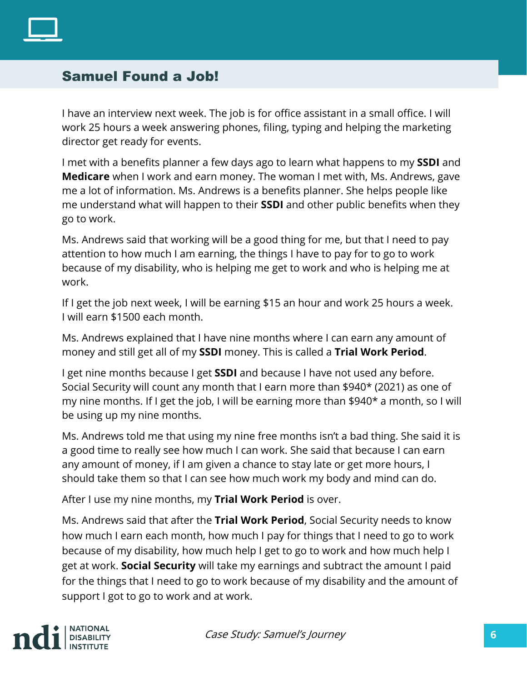

#### Samuel Found a Job!

I have an interview next week. The job is for office assistant in a small office. I will work 25 hours a week answering phones, filing, typing and helping the marketing director get ready for events.

I met with a benefits planner a few days ago to learn what happens to my **SSDI** and **Medicare** when I work and earn money. The woman I met with, Ms. Andrews, gave me a lot of information. Ms. Andrews is a benefits planner. She helps people like me understand what will happen to their **SSDI** and other public benefits when they go to work.

Ms. Andrews said that working will be a good thing for me, but that I need to pay attention to how much I am earning, the things I have to pay for to go to work because of my disability, who is helping me get to work and who is helping me at work.

If I get the job next week, I will be earning \$15 an hour and work 25 hours a week. I will earn \$1500 each month.

Ms. Andrews explained that I have nine months where I can earn any amount of money and still get all of my **SSDI** money. This is called a **Trial Work Period**.

I get nine months because I get **SSDI** and because I have not used any before. Social Security will count any month that I earn more than \$940\* (2021) as one of my nine months. If I get the job, I will be earning more than \$940\* a month, so I will be using up my nine months.

Ms. Andrews told me that using my nine free months isn't a bad thing. She said it is a good time to really see how much I can work. She said that because I can earn any amount of money, if I am given a chance to stay late or get more hours, I should take them so that I can see how much work my body and mind can do.

After I use my nine months, my **Trial Work Period** is over.

Ms. Andrews said that after the **Trial Work Period**, Social Security needs to know how much I earn each month, how much I pay for things that I need to go to work because of my disability, how much help I get to go to work and how much help I get at work. **Social Security** will take my earnings and subtract the amount I paid for the things that I need to go to work because of my disability and the amount of support I got to go to work and at work.

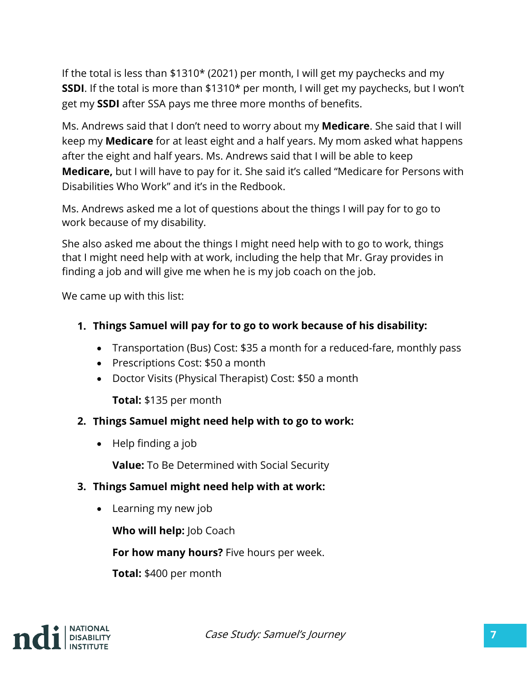If the total is less than \$1310\* (2021) per month, I will get my paychecks and my **SSDI**. If the total is more than \$1310\* per month, I will get my paychecks, but I won't get my **SSDI** after SSA pays me three more months of benefits.

Ms. Andrews said that I don't need to worry about my **Medicare**. She said that I will keep my **Medicare** for at least eight and a half years. My mom asked what happens after the eight and half years. Ms. Andrews said that I will be able to keep **Medicare,** but I will have to pay for it. She said it's called "Medicare for Persons with Disabilities Who Work" and it's in the Redbook.

Ms. Andrews asked me a lot of questions about the things I will pay for to go to work because of my disability.

She also asked me about the things I might need help with to go to work, things that I might need help with at work, including the help that Mr. Gray provides in finding a job and will give me when he is my job coach on the job.

We came up with this list:

- **1. Things Samuel will pay for to go to work because of his disability:**
	- Transportation (Bus) Cost: \$35 a month for a reduced-fare, monthly pass
	- Prescriptions Cost: \$50 a month
	- Doctor Visits (Physical Therapist) Cost: \$50 a month

**Total:** \$135 per month

#### **2. Things Samuel might need help with to go to work:**

• Help finding a job

**Value:** To Be Determined with Social Security

#### **3. Things Samuel might need help with at work:**

• Learning my new job

**Who will help:** Job Coach

**For how many hours?** Five hours per week.

**Total:** \$400 per month

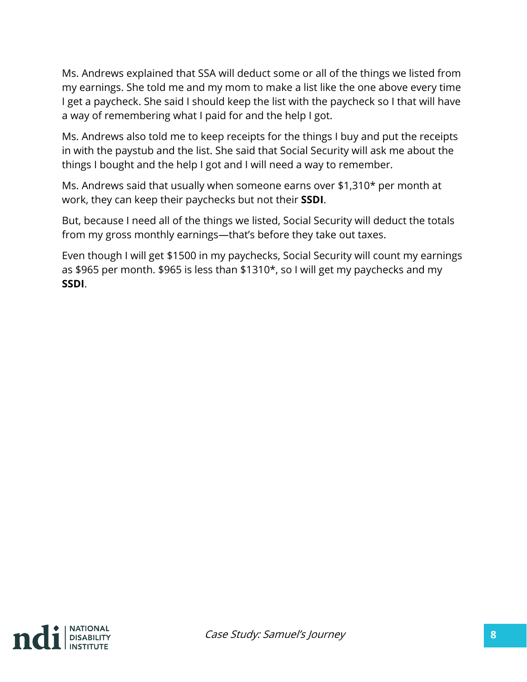Ms. Andrews explained that SSA will deduct some or all of the things we listed from my earnings. She told me and my mom to make a list like the one above every time I get a paycheck. She said I should keep the list with the paycheck so I that will have a way of remembering what I paid for and the help I got.

Ms. Andrews also told me to keep receipts for the things I buy and put the receipts in with the paystub and the list. She said that Social Security will ask me about the things I bought and the help I got and I will need a way to remember.

Ms. Andrews said that usually when someone earns over \$1,310\* per month at work, they can keep their paychecks but not their **SSDI**.

But, because I need all of the things we listed, Social Security will deduct the totals from my gross monthly earnings—that's before they take out taxes.

Even though I will get \$1500 in my paychecks, Social Security will count my earnings as \$965 per month. \$965 is less than \$1310\*, so I will get my paychecks and my **SSDI**.

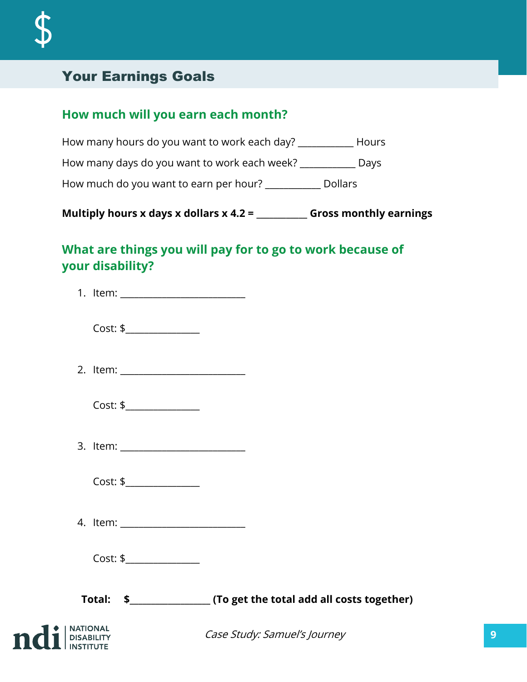# Your Earnings Goals

#### **How much will you earn each month?**

| How many hours do you want to work each day? | Hours          |
|----------------------------------------------|----------------|
| How many days do you want to work each week? | Days           |
| How much do you want to earn per hour?       | <b>Dollars</b> |

**Multiply hours x days x dollars x 4.2 = \_\_\_\_\_\_\_\_\_\_\_\_ Gross monthly earnings**

## **What are things you will pay for to go to work because of your disability?**

| Cost: \$      |  |
|---------------|--|
|               |  |
| Cost: \$      |  |
|               |  |
| Cost: \$      |  |
|               |  |
|               |  |
|               |  |
| $I$ beatlands |  |

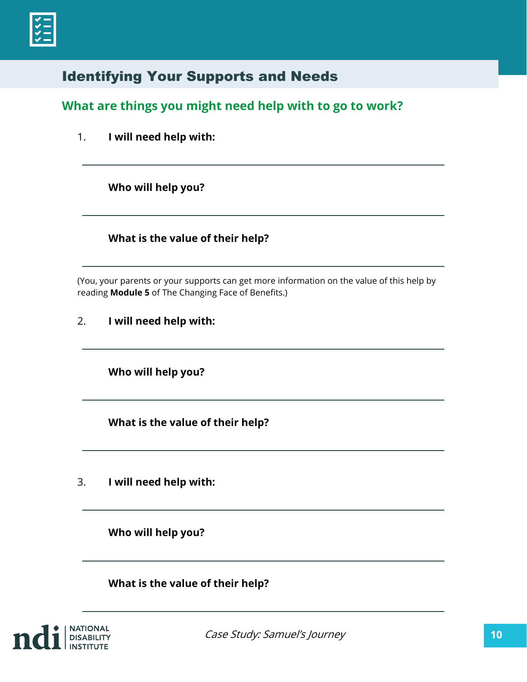## Identifying Your Supports and Needs

#### **What are things you might need help with to go to work?**

1. **I will need help with:**

**Who will help you?**

**What is the value of their help?**

(You, your parents or your supports can get more information on the value of this help by reading **Module 5** of The Changing Face of Benefits.)

**I will need help with:** 2.

**Who will help you?**

**What is the value of their help?**

**I will need help with:** 3.

**Who will help you?**

**What is the value of their help?**

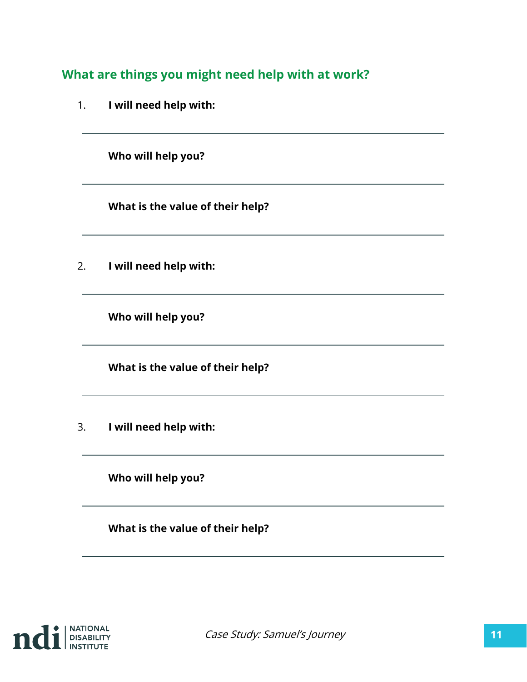**What are things you might need help with at work?**

1. **I will need help with:**

**Who will help you?**

**What is the value of their help?**

2. **I will need help with:**

**Who will help you?**

**What is the value of their help?**

3. **I will need help with:**

**Who will help you?**

**What is the value of their help?**

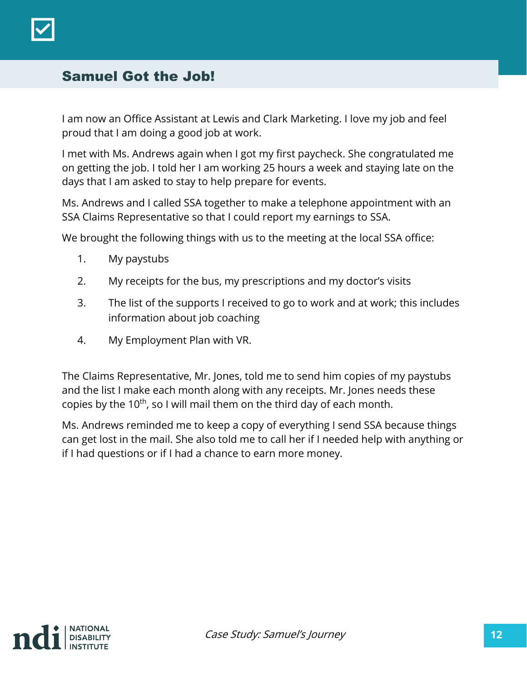

#### Samuel Got the Job!

I am now an Office Assistant at Lewis and Clark Marketing. I love my job and feel proud that I am doing a good job at work.

I met with Ms. Andrews again when I got my first paycheck. She congratulated me on getting the job. I told her I am working 25 hours a week and staying late on the days that I am asked to stay to help prepare for events.

Ms. Andrews and I called SSA together to make a telephone appointment with an SSA Claims Representative so that I could report my earnings to SSA.

We brought the following things with us to the meeting at the local SSA office:

- 1. My paystubs
- 2. My receipts for the bus, my prescriptions and my doctor's visits
- 3. The list of the supports I received to go to work and at work; this includes information about job coaching
- 4. My Employment Plan with VR.

The Claims Representative, Mr. Jones, told me to send him copies of my paystubs and the list I make each month along with any receipts. Mr. Jones needs these copies by the 10<sup>th</sup>, so I will mail them on the third day of each month.

Ms. Andrews reminded me to keep a copy of everything I send SSA because things can get lost in the mail. She also told me to call her if I needed help with anything or if I had questions or if I had a chance to earn more money.

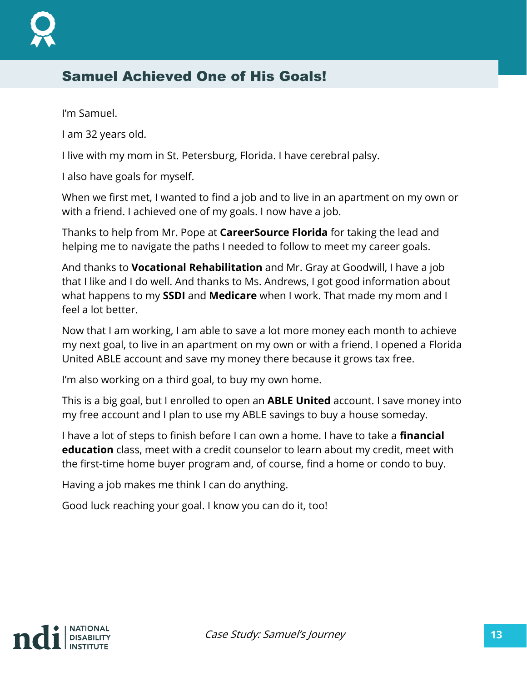## Samuel Achieved One of His Goals!

I'm Samuel.

I am 32 years old.

I live with my mom in St. Petersburg, Florida. I have cerebral palsy.

I also have goals for myself.

When we first met, I wanted to find a job and to live in an apartment on my own or with a friend. I achieved one of my goals. I now have a job.

Thanks to help from Mr. Pope at **CareerSource Florida** for taking the lead and helping me to navigate the paths I needed to follow to meet my career goals.

And thanks to **Vocational Rehabilitation** and Mr. Gray at Goodwill, I have a job that I like and I do well. And thanks to Ms. Andrews, I got good information about what happens to my **SSDI** and **Medicare** when I work. That made my mom and I feel a lot better.

Now that I am working, I am able to save a lot more money each month to achieve my next goal, to live in an apartment on my own or with a friend. I opened a Florida United ABLE account and save my money there because it grows tax free.

I'm also working on a third goal, to buy my own home.

This is a big goal, but I enrolled to open an **ABLE United** account. I save money into my free account and I plan to use my ABLE savings to buy a house someday.

I have a lot of steps to finish before I can own a home. I have to take a **financial education** class, meet with a credit counselor to learn about my credit, meet with the first-time home buyer program and, of course, find a home or condo to buy.

Having a job makes me think I can do anything.

Good luck reaching your goal. I know you can do it, too!

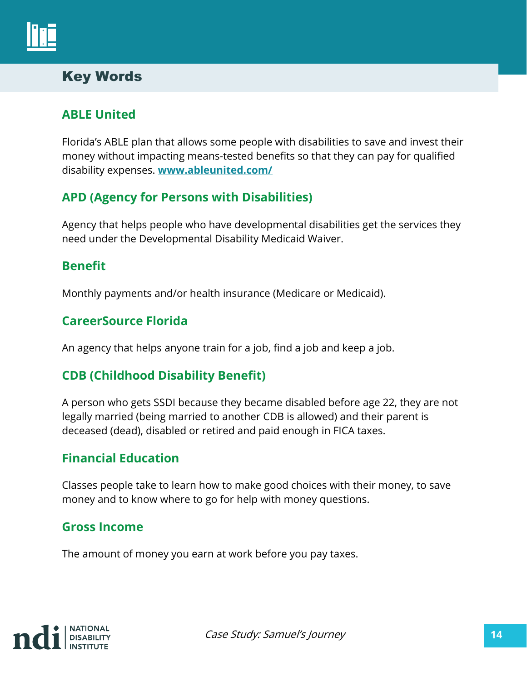

## Key Words

#### **ABLE United**

Florida's ABLE plan that allows some people with disabilities to save and invest their money without impacting means-tested benefits so that they can pay for qualified disability expenses. **[www.ableunited.com/](https://www.ableunited.com/)**

#### **APD (Agency for Persons with Disabilities)**

Agency that helps people who have developmental disabilities get the services they need under the Developmental Disability Medicaid Waiver.

#### **Benefit**

Monthly payments and/or health insurance (Medicare or Medicaid).

#### **CareerSource Florida**

An agency that helps anyone train for a job, find a job and keep a job.

#### **CDB (Childhood Disability Benefit)**

A person who gets SSDI because they became disabled before age 22, they are not legally married (being married to another CDB is allowed) and their parent is deceased (dead), disabled or retired and paid enough in FICA taxes.

#### **Financial Education**

Classes people take to learn how to make good choices with their money, to save money and to know where to go for help with money questions.

#### **Gross Income**

The amount of money you earn at work before you pay taxes.